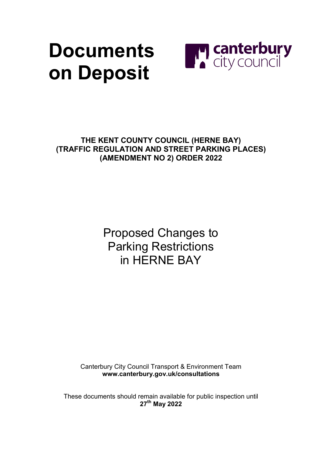## **Documents on Deposit**



**THE KENT COUNTY COUNCIL (HERNE BAY) (TRAFFIC REGULATION AND STREET PARKING PLACES) (AMENDMENT NO 2) ORDER 2022**

> Proposed Changes to Parking Restrictions in HERNE BAY

Canterbury City Council Transport & Environment Team **[www.canterbury.gov.uk/consultations](http://www.canterbury.gov.uk/consultations)**

These documents should remain available for public inspection until **27th May 2022**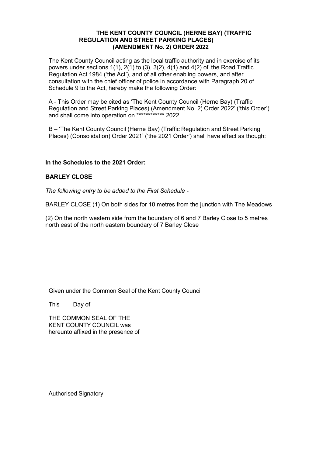#### **THE KENT COUNTY COUNCIL (HERNE BAY) (TRAFFIC REGULATION AND STREET PARKING PLACES) (AMENDMENT No. 2) ORDER 2022**

The Kent County Council acting as the local traffic authority and in exercise of its powers under sections  $1(1)$ ,  $2(1)$  to  $(3)$ ,  $3(2)$ ,  $4(1)$  and  $4(2)$  of the Road Traffic Regulation Act 1984 ('the Act'), and of all other enabling powers, and after consultation with the chief officer of police in accordance with Paragraph 20 of Schedule 9 to the Act, hereby make the following Order:

A - This Order may be cited as 'The Kent County Council (Herne Bay) (Traffic Regulation and Street Parking Places) (Amendment No. 2) Order 2022' ('this Order') and shall come into operation on \*\*\*\*\*\*\*\*\*\*\*\* 2022.

B – 'The Kent County Council (Herne Bay) (Traffic Regulation and Street Parking Places) (Consolidation) Order 2021' ('the 2021 Order') shall have effect as though:

#### **In the Schedules to the 2021 Order:**

#### **BARLEY CLOSE**

*The following entry to be added to the First Schedule -*

BARLEY CLOSE (1) On both sides for 10 metres from the junction with The Meadows

(2) On the north western side from the boundary of 6 and 7 Barley Close to 5 metres north east of the north eastern boundary of 7 Barley Close

Given under the Common Seal of the Kent County Council

This Day of

THE COMMON SEAL OF THE KENT COUNTY COUNCIL was hereunto affixed in the presence of

Authorised Signatory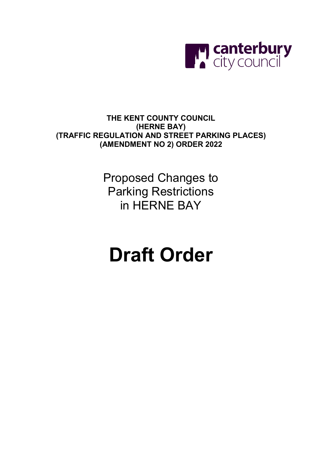

**THE KENT COUNTY COUNCIL (HERNE BAY) (TRAFFIC REGULATION AND STREET PARKING PLACES) (AMENDMENT NO 2) ORDER 2022**

> Proposed Changes to Parking Restrictions in HERNE BAY

### **Draft Order**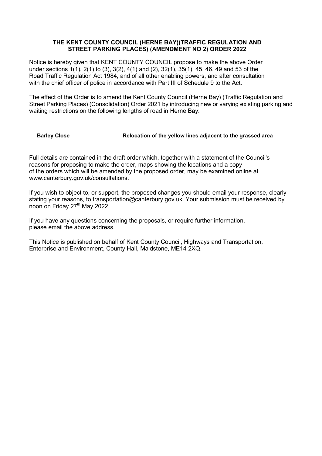#### **THE KENT COUNTY COUNCIL (HERNE BAY)(TRAFFIC REGULATION AND STREET PARKING PLACES) (AMENDMENT NO 2) ORDER 2022**

Notice is hereby given that KENT COUNTY COUNCIL propose to make the above Order under sections 1(1), 2(1) to (3), 3(2), 4(1) and (2), 32(1), 35(1), 45, 46, 49 and 53 of the Road Traffic Regulation Act 1984, and of all other enabling powers, and after consultation with the chief officer of police in accordance with Part III of Schedule 9 to the Act.

The effect of the Order is to amend the Kent County Council (Herne Bay) (Traffic Regulation and Street Parking Places) (Consolidation) Order 2021 by introducing new or varying existing parking and waiting restrictions on the following lengths of road in Herne Bay:

#### **Barley Close Relocation of the yellow lines adjacent to the grassed area**

Full details are contained in the draft order which, together with a statement of the Council's reasons for proposing to make the order, maps showing the locations and a copy of the orders which will be amended by the proposed order, may be examined online at www.canterbury.gov.uk/consultations.

If you wish to object to, or support, the proposed changes you should email your response, clearly stating your reasons, to transportation@canterbury.gov.uk. Your submission must be received by noon on Friday 27<sup>th</sup> May 2022.

If you have any questions concerning the proposals, or require further information, please email the above address.

This Notice is published on behalf of Kent County Council, Highways and Transportation, Enterprise and Environment, County Hall, Maidstone, ME14 2XQ.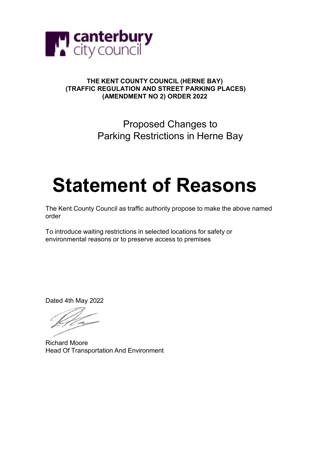

#### **THE KENT COUNTY COUNCIL (HERNE BAY) (TRAFFIC REGULATION AND STREET PARKING PLACES) (AMENDMENT NO 2) ORDER 2022**

Proposed Changes to Parking Restrictions in Herne Bay

# **Statement of Reasons**

The Kent County Council as traffic authority propose to make the above named order

To introduce waiting restrictions in selected locations for safety or environmental reasons or to preserve access to premises

Dated 4th May 2022

Richard Moore Head Of Transportation And Environment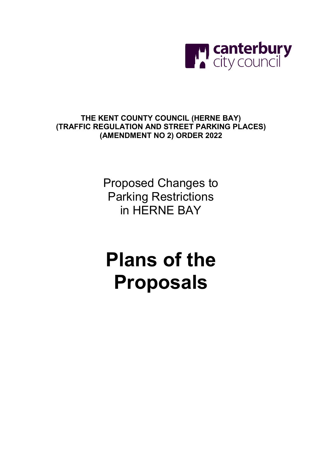

### **THE KENT COUNTY COUNCIL (HERNE BAY) (TRAFFIC REGULATION AND STREET PARKING PLACES) (AMENDMENT NO 2) ORDER 2022**

Proposed Changes to Parking Restrictions in HERNE BAY

## **Plans of the Proposals**